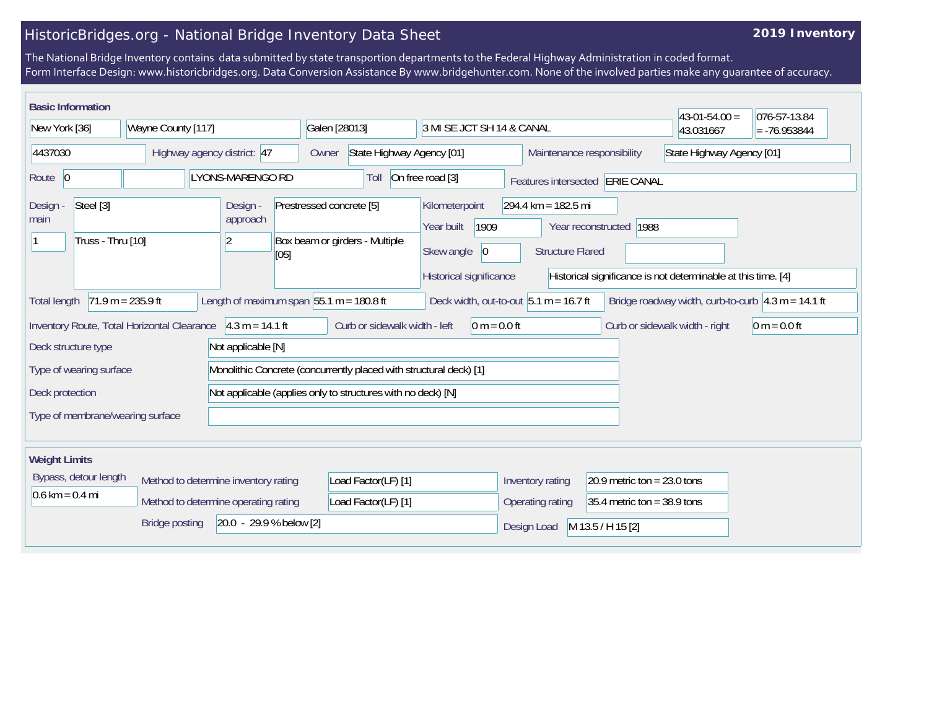## HistoricBridges.org - National Bridge Inventory Data Sheet

## **2019 Inventory**

The National Bridge Inventory contains data submitted by state transportion departments to the Federal Highway Administration in coded format. Form Interface Design: www.historicbridges.org. Data Conversion Assistance By www.bridgehunter.com. None of the involved parties make any guarantee of accuracy.

| <b>Basic Information</b>                                                                                                                                                                                                                                                                              |  |                                                              |                                                                    |                                                                                              |                                                                  |                                 | $43-01-54.00 =$ | 076-57-13.84 |
|-------------------------------------------------------------------------------------------------------------------------------------------------------------------------------------------------------------------------------------------------------------------------------------------------------|--|--------------------------------------------------------------|--------------------------------------------------------------------|----------------------------------------------------------------------------------------------|------------------------------------------------------------------|---------------------------------|-----------------|--------------|
| New York [36]<br>Wayne County [117]                                                                                                                                                                                                                                                                   |  | Galen [28013]<br>3 MI SE JCT SH 14 & CANAL                   |                                                                    |                                                                                              |                                                                  | 43.031667                       | $= -76.953844$  |              |
| 4437030<br>Highway agency district: 47                                                                                                                                                                                                                                                                |  | State Highway Agency [01]<br>Owner                           |                                                                    |                                                                                              | Maintenance responsibility<br>State Highway Agency [01]          |                                 |                 |              |
| Route $ 0$<br><b>LYONS-MARENGO RD</b>                                                                                                                                                                                                                                                                 |  |                                                              | Toll                                                               | On free road [3]                                                                             |                                                                  | Features intersected ERIE CANAL |                 |              |
| Steel [3]<br>Design -<br>main<br>Truss - Thru [10]                                                                                                                                                                                                                                                    |  | Design -<br>approach<br>2<br>[05]                            | Prestressed concrete [5]<br>Box beam or girders - Multiple         | Kilometerpoint<br>1909<br>Year built<br>Skew angle<br>$ 0\rangle$<br>Historical significance | $294.4 \text{ km} = 182.5 \text{ mi}$<br><b>Structure Flared</b> | Year reconstructed 1988         |                 |              |
| Historical significance is not determinable at this time. [4]<br>$71.9 m = 235.9 ft$<br>Length of maximum span $ 55.1 \text{ m} = 180.8 \text{ ft} $<br>Deck width, out-to-out $5.1 m = 16.7 ft$<br>Bridge roadway width, curb-to-curb $\vert 4.3 \text{ m} = 14.1 \text{ ft}$<br><b>Total length</b> |  |                                                              |                                                                    |                                                                                              |                                                                  |                                 |                 |              |
| $4.3 m = 14.1 ft$<br>Curb or sidewalk width - left<br>Inventory Route, Total Horizontal Clearance<br>$0 m = 0.0 ft$<br>Curb or sidewalk width - right<br>$0 m = 0.0 ft$                                                                                                                               |  |                                                              |                                                                    |                                                                                              |                                                                  |                                 |                 |              |
| Not applicable [N]<br>Deck structure type                                                                                                                                                                                                                                                             |  |                                                              |                                                                    |                                                                                              |                                                                  |                                 |                 |              |
| Type of wearing surface                                                                                                                                                                                                                                                                               |  |                                                              | Monolithic Concrete (concurrently placed with structural deck) [1] |                                                                                              |                                                                  |                                 |                 |              |
| Deck protection                                                                                                                                                                                                                                                                                       |  | Not applicable (applies only to structures with no deck) [N] |                                                                    |                                                                                              |                                                                  |                                 |                 |              |
| Type of membrane/wearing surface                                                                                                                                                                                                                                                                      |  |                                                              |                                                                    |                                                                                              |                                                                  |                                 |                 |              |
| <b>Weight Limits</b>                                                                                                                                                                                                                                                                                  |  |                                                              |                                                                    |                                                                                              |                                                                  |                                 |                 |              |
| Bypass, detour length<br>Method to determine inventory rating                                                                                                                                                                                                                                         |  | Load Factor(LF) [1]                                          |                                                                    | Inventory rating                                                                             | 20.9 metric ton = $23.0$ tons                                    |                                 |                 |              |
| $0.6 \text{ km} = 0.4 \text{ mi}$<br>Method to determine operating rating                                                                                                                                                                                                                             |  | Load Factor(LF) [1]                                          |                                                                    | Operating rating                                                                             | 35.4 metric ton = $38.9$ tons                                    |                                 |                 |              |
| $[20.0 - 29.9 % below [2]]$<br><b>Bridge posting</b>                                                                                                                                                                                                                                                  |  |                                                              |                                                                    |                                                                                              | Design Load                                                      | M 13.5 / H 15 [2]               |                 |              |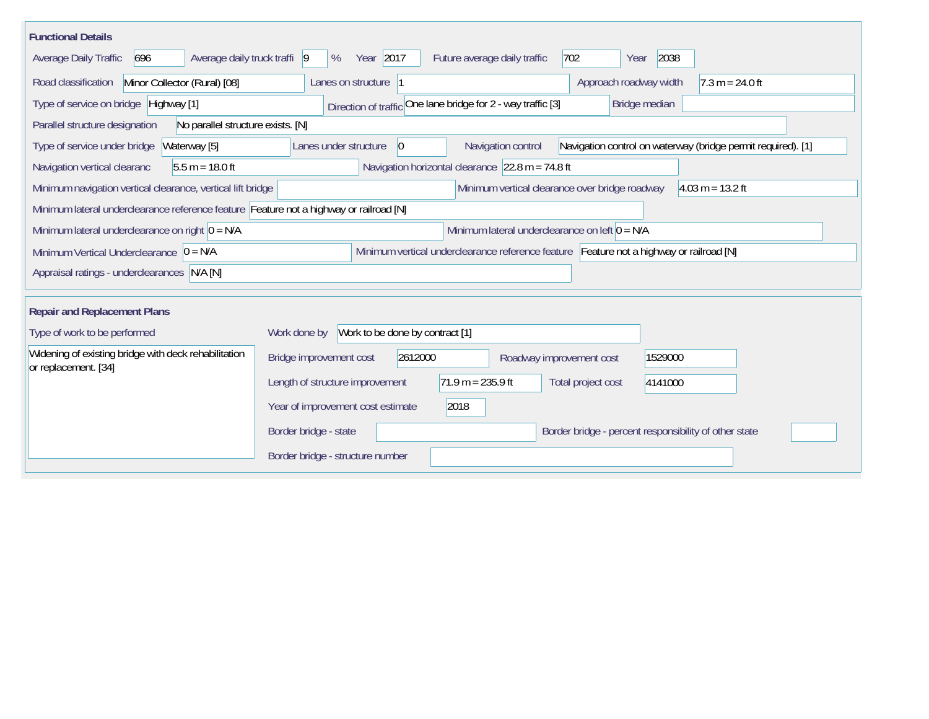| <b>Functional Details</b>                                                                                                              |                                                                                                                            |  |  |  |  |  |  |  |  |
|----------------------------------------------------------------------------------------------------------------------------------------|----------------------------------------------------------------------------------------------------------------------------|--|--|--|--|--|--|--|--|
| 696<br>Average daily truck traffi 9<br>Average Daily Traffic                                                                           | Year 2017<br>2038<br>%<br>Future average daily traffic<br>702<br>Year                                                      |  |  |  |  |  |  |  |  |
| Minor Collector (Rural) [08]<br>Road classification                                                                                    | Approach roadway width<br>$7.3 m = 24.0 ft$<br>Lanes on structure 1                                                        |  |  |  |  |  |  |  |  |
| Type of service on bridge Highway [1]                                                                                                  | Direction of traffic One lane bridge for 2 - way traffic [3]<br>Bridge median                                              |  |  |  |  |  |  |  |  |
| Parallel structure designation<br>No parallel structure exists. [N]                                                                    |                                                                                                                            |  |  |  |  |  |  |  |  |
| Waterway [5]<br>Type of service under bridge                                                                                           | Navigation control on waterway (bridge permit required). [1]<br>Lanes under structure<br>Navigation control<br>$ 0\rangle$ |  |  |  |  |  |  |  |  |
| $5.5 m = 18.0 ft$<br>Navigation vertical clearanc                                                                                      | Navigation horizontal clearance $ 22.8 \text{ m} = 74.8 \text{ ft} $                                                       |  |  |  |  |  |  |  |  |
| Minimum navigation vertical clearance, vertical lift bridge<br>Minimum vertical clearance over bridge roadway<br>$4.03 m = 13.2 ft$    |                                                                                                                            |  |  |  |  |  |  |  |  |
| Minimum lateral underclearance reference feature Feature not a highway or railroad [N]                                                 |                                                                                                                            |  |  |  |  |  |  |  |  |
| Minimum lateral underclearance on left $0 = N/A$<br>Minimum lateral underclearance on right $0 = N/A$                                  |                                                                                                                            |  |  |  |  |  |  |  |  |
| Minimum vertical underclearance reference feature Feature not a highway or railroad [N]<br>Minimum Vertical Underclearance $ 0 = N/A $ |                                                                                                                            |  |  |  |  |  |  |  |  |
| Appraisal ratings - underclearances N/A [N]                                                                                            |                                                                                                                            |  |  |  |  |  |  |  |  |
|                                                                                                                                        |                                                                                                                            |  |  |  |  |  |  |  |  |
| <b>Repair and Replacement Plans</b>                                                                                                    |                                                                                                                            |  |  |  |  |  |  |  |  |
| Type of work to be performed                                                                                                           | Work to be done by contract [1]<br>Work done by                                                                            |  |  |  |  |  |  |  |  |
| Widening of existing bridge with deck rehabilitation<br>or replacement. [34]                                                           | 2612000<br>Bridge improvement cost<br>1529000<br>Roadway improvement cost                                                  |  |  |  |  |  |  |  |  |
|                                                                                                                                        | $71.9 m = 235.9 ft$<br>Length of structure improvement<br>Total project cost<br>4141000                                    |  |  |  |  |  |  |  |  |
|                                                                                                                                        | 2018<br>Year of improvement cost estimate                                                                                  |  |  |  |  |  |  |  |  |
|                                                                                                                                        | Border bridge - state<br>Border bridge - percent responsibility of other state                                             |  |  |  |  |  |  |  |  |
|                                                                                                                                        | Border bridge - structure number                                                                                           |  |  |  |  |  |  |  |  |